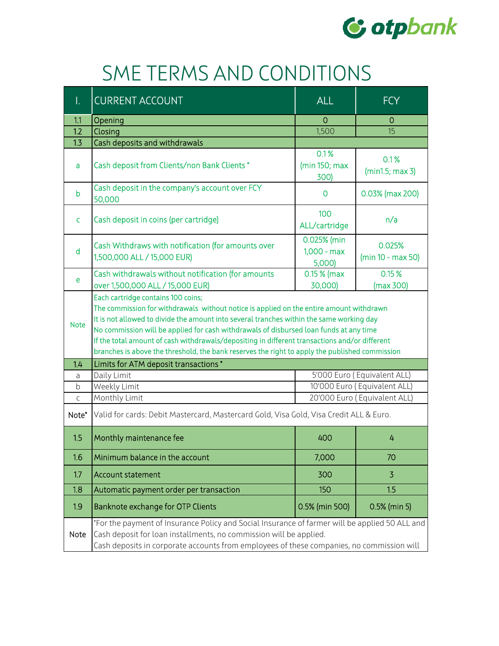

## SME TERMS AND CONDITIONS

| Ι.          | <b>CURRENT ACCOUNT</b>                                                                                                                                                                                                                                                                                                                                                                                                                                                                                                 | <b>ALL</b>                             | <b>FCY</b>                    |  |
|-------------|------------------------------------------------------------------------------------------------------------------------------------------------------------------------------------------------------------------------------------------------------------------------------------------------------------------------------------------------------------------------------------------------------------------------------------------------------------------------------------------------------------------------|----------------------------------------|-------------------------------|--|
| 1.1         | Opening                                                                                                                                                                                                                                                                                                                                                                                                                                                                                                                | $\overline{0}$                         | 0                             |  |
| 1.2         | Closing                                                                                                                                                                                                                                                                                                                                                                                                                                                                                                                | 1,500                                  | 15                            |  |
| 1.3         | Cash deposits and withdrawals                                                                                                                                                                                                                                                                                                                                                                                                                                                                                          |                                        |                               |  |
| a           | Cash deposit from Clients/non Bank Clients *                                                                                                                                                                                                                                                                                                                                                                                                                                                                           | 0.1%<br>(min 150; max)<br>300)         | 0.1%<br>(min1.5; max 3)       |  |
| b           | Cash deposit in the company's account over FCY<br>50,000                                                                                                                                                                                                                                                                                                                                                                                                                                                               | 0                                      | 0.03% (max 200)               |  |
| C           | Cash deposit in coins (per cartridge)                                                                                                                                                                                                                                                                                                                                                                                                                                                                                  | 100<br>ALL/cartridge                   | n/a                           |  |
| d           | Cash Withdraws with notification (for amounts over<br>1,500,000 ALL / 15,000 EUR)                                                                                                                                                                                                                                                                                                                                                                                                                                      | 0.025% (min<br>$1,000 - max$<br>5,000) | 0.025%<br>$(min 10 - max 50)$ |  |
| e           | Cash withdrawals without notification (for amounts<br>over 1,500,000 ALL / 15,000 EUR)                                                                                                                                                                                                                                                                                                                                                                                                                                 | $0.15%$ (max<br>30,000)                | 0.15%<br>(max 300)            |  |
| <b>Note</b> | Each cartridge contains 100 coins;<br>The commission for withdrawals without notice is applied on the entire amount withdrawn<br>It is not allowed to divide the amount into several tranches within the same working day<br>No commission will be applied for cash withdrawals of disbursed loan funds at any time<br>If the total amount of cash withdrawals/depositing in different transactions and/or different<br>branches is above the threshold, the bank reserves the right to apply the published commission |                                        |                               |  |
| 1.4         | Limits for ATM deposit transactions *                                                                                                                                                                                                                                                                                                                                                                                                                                                                                  |                                        |                               |  |
| a           | 5'000 Euro (Equivalent ALL)<br>Daily Limit                                                                                                                                                                                                                                                                                                                                                                                                                                                                             |                                        |                               |  |
| b           | Weekly Limit                                                                                                                                                                                                                                                                                                                                                                                                                                                                                                           |                                        | 10'000 Euro (Equivalent ALL)  |  |
| C           | Monthly Limit                                                                                                                                                                                                                                                                                                                                                                                                                                                                                                          |                                        | 20'000 Euro (Equivalent ALL)  |  |
| Note*       | Valid for cards: Debit Mastercard, Mastercard Gold, Visa Gold, Visa Credit ALL & Euro.                                                                                                                                                                                                                                                                                                                                                                                                                                 |                                        |                               |  |
| 1.5         | Monthly maintenance fee                                                                                                                                                                                                                                                                                                                                                                                                                                                                                                | 400                                    | 4                             |  |
| 1.6         | Minimum balance in the account                                                                                                                                                                                                                                                                                                                                                                                                                                                                                         | 7,000                                  | 70                            |  |
| 1.7         | <b>Account statement</b>                                                                                                                                                                                                                                                                                                                                                                                                                                                                                               | 300                                    | 3                             |  |
| 1.8         | Automatic payment order per transaction                                                                                                                                                                                                                                                                                                                                                                                                                                                                                | 150                                    | 1.5                           |  |
| 1.9         | Banknote exchange for OTP Clients                                                                                                                                                                                                                                                                                                                                                                                                                                                                                      | 0.5% (min 500)                         | 0.5% (min 5)                  |  |
| <b>Note</b> | *For the payment of Insurance Policy and Social Insurance of farmer will be applied 50 ALL and<br>Cash deposit for loan installments, no commission will be applied.<br>Cash deposits in corporate accounts from employees of these companies, no commission will                                                                                                                                                                                                                                                      |                                        |                               |  |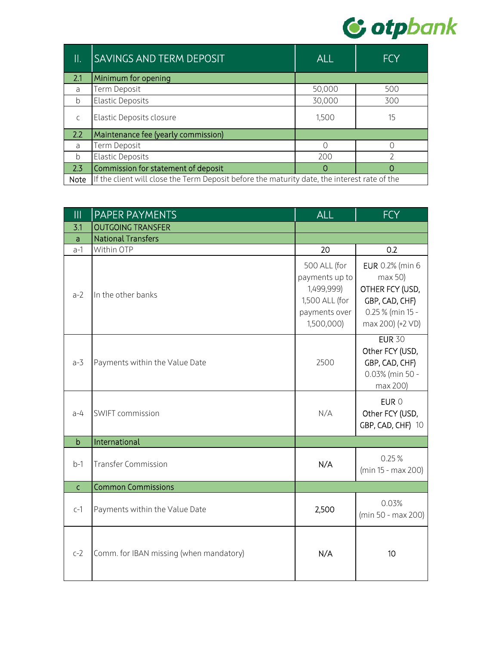

| $\parallel$ .  | <b>SAVINGS AND TERM DEPOSIT</b>                                                              | <b>ALL</b> | <b>FCY</b> |
|----------------|----------------------------------------------------------------------------------------------|------------|------------|
| 2.1            | Minimum for opening                                                                          |            |            |
| a              | Term Deposit                                                                                 | 50,000     | 500        |
| <sub>b</sub>   | <b>Elastic Deposits</b>                                                                      | 30,000     | 300        |
| $\mathsf{C}$   | Elastic Deposits closure                                                                     | 1,500      | 15         |
| 2.2            | Maintenance fee (yearly commission)                                                          |            |            |
| $\overline{a}$ | Term Deposit                                                                                 | ∩          |            |
| h              | <b>Elastic Deposits</b>                                                                      | 200        |            |
| 2.3            | Commission for statement of deposit                                                          | O          | Ω          |
| Note           | If the client will close the Term Deposit before the maturity date, the interest rate of the |            |            |

| $\mathbf{III}$ | PAPER PAYMENTS                          | <b>ALL</b>                                                                                    | <b>FCY</b>                                                                                             |
|----------------|-----------------------------------------|-----------------------------------------------------------------------------------------------|--------------------------------------------------------------------------------------------------------|
| 3.1            | <b>OUTGOING TRANSFER</b>                |                                                                                               |                                                                                                        |
| a              | <b>National Transfers</b>               |                                                                                               |                                                                                                        |
| $a-1$          | Within OTP                              | 20                                                                                            | 0.2                                                                                                    |
| $a-2$          | In the other banks                      | 500 ALL (for<br>payments up to<br>1,499,999)<br>1,500 ALL (for<br>payments over<br>1,500,000) | EUR 0.2% (min 6<br>max 50<br>OTHER FCY (USD,<br>GBP, CAD, CHF)<br>0.25 % (min 15 -<br>max 200) (+2 VD) |
| $a-3$          | Payments within the Value Date          | 2500                                                                                          | <b>EUR 30</b><br>Other FCY (USD,<br>GBP, CAD, CHF)<br>0.03% (min 50 -<br>max 200)                      |
| $a-4$          | SWIFT commission                        | N/A                                                                                           | EUR 0<br>Other FCY (USD,<br>GBP, CAD, CHF) 10                                                          |
| $\mathbf b$    | International                           |                                                                                               |                                                                                                        |
| $b-1$          | <b>Transfer Commission</b>              | N/A                                                                                           | 0.25%<br>(min 15 - max 200)                                                                            |
| $\mathsf{C}$   | <b>Common Commissions</b>               |                                                                                               |                                                                                                        |
| $c-1$          | Payments within the Value Date          | 2,500                                                                                         | 0.03%<br>(min 50 - max 200)                                                                            |
| $c-2$          | Comm. for IBAN missing (when mandatory) | N/A                                                                                           | 10                                                                                                     |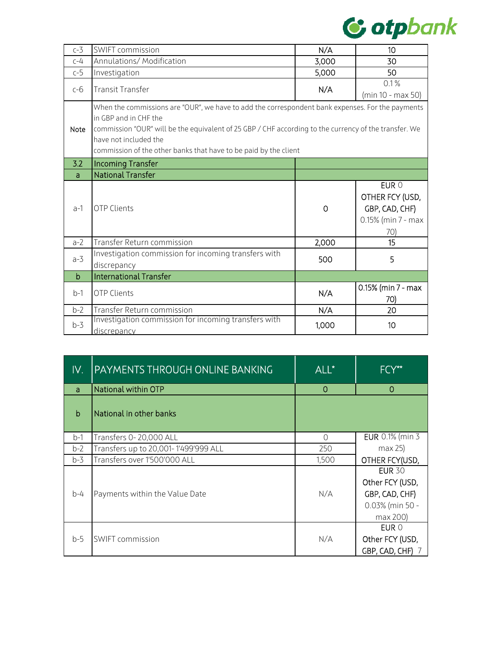

| $c-3$                                                                                                                                                                                                                                                                                                                                   | SWIFT commission                                                    | N/A   | 10                                                                      |
|-----------------------------------------------------------------------------------------------------------------------------------------------------------------------------------------------------------------------------------------------------------------------------------------------------------------------------------------|---------------------------------------------------------------------|-------|-------------------------------------------------------------------------|
| $C-4$                                                                                                                                                                                                                                                                                                                                   | Annulations/ Modification                                           | 3,000 | 30                                                                      |
| $c-5$                                                                                                                                                                                                                                                                                                                                   | Investigation                                                       | 5,000 | 50                                                                      |
| $c-6$                                                                                                                                                                                                                                                                                                                                   | <b>Transit Transfer</b>                                             | N/A   | 0.1%<br>(min 10 - max 50)                                               |
| When the commissions are "OUR", we have to add the correspondent bank expenses. For the payments<br>in GBP and in CHF the<br>commission "OUR" will be the equivalent of 25 GBP / CHF according to the currency of the transfer. We<br>Note<br>have not included the<br>commission of the other banks that have to be paid by the client |                                                                     |       |                                                                         |
| 3.2                                                                                                                                                                                                                                                                                                                                     | <b>Incoming Transfer</b>                                            |       |                                                                         |
| a                                                                                                                                                                                                                                                                                                                                       | <b>National Transfer</b>                                            |       |                                                                         |
| $a-1$                                                                                                                                                                                                                                                                                                                                   | <b>OTP Clients</b>                                                  | 0     | EUR 0<br>OTHER FCY (USD,<br>GBP, CAD, CHF)<br>0.15% (min 7 - max<br>70) |
| $a-2$                                                                                                                                                                                                                                                                                                                                   | Transfer Return commission                                          | 2,000 | 15                                                                      |
| $a-3$                                                                                                                                                                                                                                                                                                                                   | Investigation commission for incoming transfers with<br>discrepancy | 500   | 5                                                                       |
| $\mathbf b$                                                                                                                                                                                                                                                                                                                             | <b>International Transfer</b>                                       |       |                                                                         |
| $b-1$                                                                                                                                                                                                                                                                                                                                   | OTP Clients                                                         | N/A   | 0.15% (min 7 - max<br>70)                                               |
| $b-2$                                                                                                                                                                                                                                                                                                                                   | Transfer Return commission                                          | N/A   | 20                                                                      |
| $b-3$                                                                                                                                                                                                                                                                                                                                   | Investigation commission for incoming transfers with<br>discrepancy | 1,000 | 10                                                                      |

| IV.          | PAYMENTS THROUGH ONLINE BANKING      | ALL*      | FCY**                                                                             |
|--------------|--------------------------------------|-----------|-----------------------------------------------------------------------------------|
| a            | National within OTP                  | 0         | 0                                                                                 |
| $\mathsf{h}$ | National in other banks              |           |                                                                                   |
| $b-1$        | Transfers 0-20,000 ALL               | $\bigcap$ | EUR 0.1% (min 3                                                                   |
| $b-2$        | Transfers up to 20,001-1'499'999 ALL | 250       | max 25                                                                            |
| $b-3$        | Transfers over 1'500'000 ALL         | 1,500     | OTHER FCY(USD,                                                                    |
| $b-4$        | Payments within the Value Date       | N/A       | <b>EUR 30</b><br>Other FCY (USD,<br>GBP, CAD, CHF)<br>0.03% (min 50 -<br>max 200) |
| $b-5$        | <b>SWIFT commission</b>              | N/A       | EUR 0<br>Other FCY (USD,<br>GBP, CAD, CHF)                                        |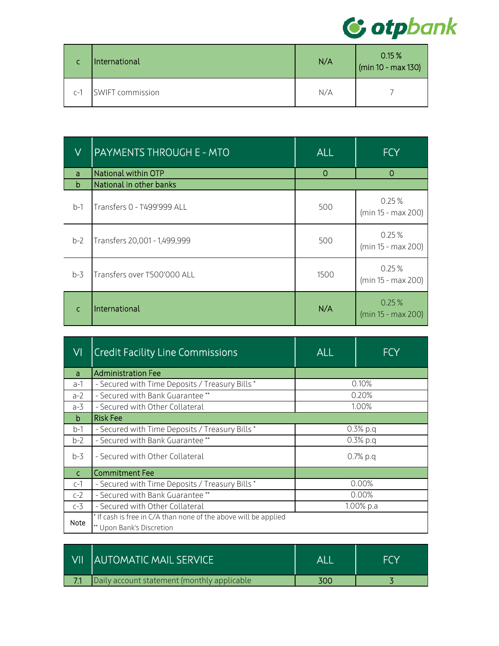

|       | International    | N/A | 0.15%<br>(min 10 - max 130) |
|-------|------------------|-----|-----------------------------|
| $C-1$ | SWIFT commission | N/A |                             |

| V     | <u> PAYMENTS THROUGH E - MTO</u> | <b>ALL</b> | <b>FCY</b>                  |
|-------|----------------------------------|------------|-----------------------------|
| a     | National within OTP              | $\Omega$   | 0                           |
| b     | National in other banks          |            |                             |
| $b-1$ | Transfers 0 - 1'499'999 ALL      | 500        | 0.25%<br>(min 15 - max 200) |
| $b-2$ | Transfers 20,001 - 1,499,999     | 500        | 0.25%<br>(min 15 - max 200) |
| $b-3$ | Transfers over 1'500'000 ALL     | 1500       | 0.25%<br>(min 15 - max 200) |
|       | International                    | N/A        | 0.25%<br>(min 15 - max 200) |

| VI           | <b>Credit Facility Line Commissions</b>                                                      | <b>ALL</b> | <b>FCY</b> |  |
|--------------|----------------------------------------------------------------------------------------------|------------|------------|--|
| a            | <b>Administration Fee</b>                                                                    |            |            |  |
| a-1          | - Secured with Time Deposits / Treasury Bills *                                              |            | 0.10%      |  |
| $a-2$        | - Secured with Bank Guarantee **                                                             |            | 0.20%      |  |
| a-3          | - Secured with Other Collateral                                                              |            | 1.00%      |  |
| b            | <b>Risk Fee</b>                                                                              |            |            |  |
| $b-1$        | - Secured with Time Deposits / Treasury Bills *                                              | 0.3% p.q   |            |  |
| $b-2$        | - Secured with Bank Guarantee **                                                             | $0.3%$ p.g |            |  |
| $b-3$        | - Secured with Other Collateral                                                              | $0.7%$ p.q |            |  |
| $\mathsf{C}$ | <b>Commitment Fee</b>                                                                        |            |            |  |
| $c-1$        | - Secured with Time Deposits / Treasury Bills *                                              |            | $0.00\%$   |  |
| $c-2$        | - Secured with Bank Guarantee **                                                             | 0.00%      |            |  |
| $c-3$        | - Secured with Other Collateral                                                              | 1.00% p.a  |            |  |
| Note         | * If cash is free in C/A than none of the above will be applied<br>** Upon Bank's Discretion |            |            |  |

| l VII | <b>AUTOMATIC MAIL SERVICE</b>               | ΔL  |  |
|-------|---------------------------------------------|-----|--|
|       | Daily account statement (monthly applicable | 300 |  |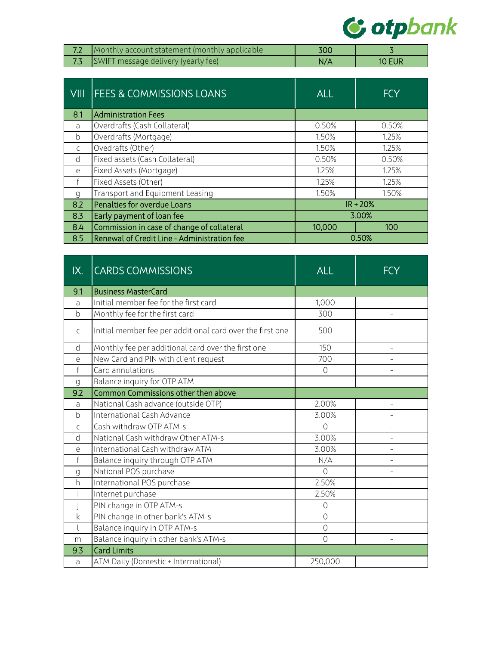

| Monthly account statement (monthly applicable | 300 |               |
|-----------------------------------------------|-----|---------------|
| SWIFT message delivery (yearly fee)           | N/A | <b>10 EUR</b> |

| <b>VIII</b>  | <b>FEES &amp; COMMISSIONS LOANS</b>         | <b>ALL</b> | <b>FCY</b> |
|--------------|---------------------------------------------|------------|------------|
| 8.1          | <b>Administration Fees</b>                  |            |            |
| a            | Overdrafts (Cash Collateral)                | 0.50%      | 0.50%      |
| b            | Overdrafts (Mortgage)                       | 1.50%      | 1.25%      |
| $\mathsf{C}$ | Ovedrafts (Other)                           | 1.50%      | 1.25%      |
| <sub>d</sub> | Fixed assets (Cash Collateral)              | 0.50%      | 0.50%      |
| e            | Fixed Assets (Mortgage)                     | 1.25%      | 1.25%      |
|              | Fixed Assets (Other)                        | 1.25%      | 1.25%      |
| q            | Transport and Equipment Leasing             | 1.50%      | 1.50%      |
| 8.2          | Penalties for overdue Loans                 |            | $IR + 20%$ |
| 8.3          | Early payment of loan fee                   | 3.00%      |            |
| 8.4          | Commission in case of change of collateral  | 10,000     | 100        |
| 8.5          | Renewal of Credit Line - Administration fee | 0.50%      |            |

| IX.          | <b>CARDS COMMISSIONS</b>                                  | <b>ALL</b>     | FCY            |
|--------------|-----------------------------------------------------------|----------------|----------------|
| 9.1          | <b>Business MasterCard</b>                                |                |                |
| a            | Initial member fee for the first card                     | 1,000          | $\equiv$       |
| $\mathsf b$  | Monthly fee for the first card                            | 300            |                |
| C            | Initial member fee per additional card over the first one | 500            |                |
| d            | Monthly fee per additional card over the first one        | 150            | $\overline{a}$ |
| e            | New Card and PIN with client request                      | 700            | ÷              |
| $\mathsf f$  | Card annulations                                          | $\Omega$       |                |
| q            | Balance inquiry for OTP ATM                               |                |                |
| 9.2          | Common Commissions other then above                       |                |                |
| a            | National Cash advance (outside OTP)                       | 2.00%          |                |
| $\mathsf{b}$ | International Cash Advance                                | 3.00%          | $\overline{a}$ |
| $\mathsf{C}$ | Cash withdraw OTP ATM-s                                   | $\overline{O}$ |                |
| d            | National Cash withdraw Other ATM-s                        | 3.00%          |                |
| e            | International Cash withdraw ATM                           | 3.00%          |                |
| $\mathsf{f}$ | Balance inquiry through OTP ATM                           | N/A            |                |
| g            | National POS purchase                                     | $\overline{O}$ |                |
| h            | International POS purchase                                | 2.50%          |                |
|              | Internet purchase                                         | 2.50%          |                |
|              | PIN change in OTP ATM-s                                   | $\circ$        |                |
| $\mathsf{k}$ | PIN change in other bank's ATM-s                          | $\overline{0}$ |                |
|              | Balance inquiry in OTP ATM-s                              | $\circ$        |                |
| m            | Balance inquiry in other bank's ATM-s                     | $\overline{0}$ |                |
| 9.3          | <b>Card Limits</b>                                        |                |                |
| a            | ATM Daily (Domestic + International)                      | 250,000        |                |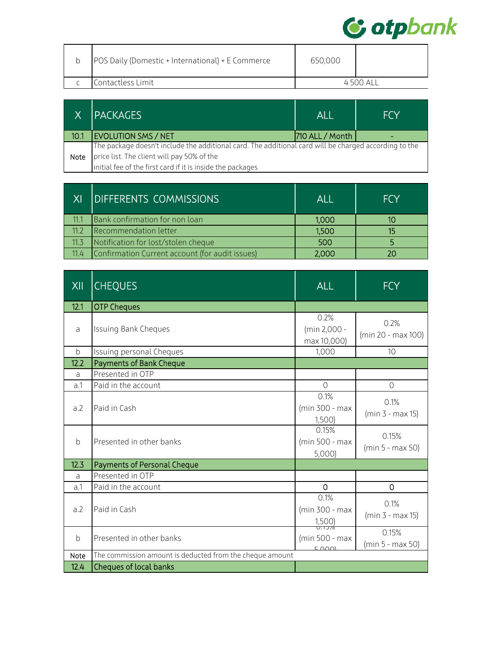

| <b>POS Daily (Domestic + International) + E Commerce</b> | 650,000  |  |
|----------------------------------------------------------|----------|--|
| Contactless Limit                                        | 4500 ALL |  |

|      | <b>PACKAGES</b>                                                                                       | ALL             | <b>FCY</b> |
|------|-------------------------------------------------------------------------------------------------------|-----------------|------------|
| 10.1 | <b>EVOLUTION SMS / NET</b>                                                                            | 710 ALL / Month |            |
|      | The package doesn't include the additional card. The additional card will be charged according to the |                 |            |
| Note | price list. The client will pay 50% of the                                                            |                 |            |
|      | initial fee of the first card if it is inside the packages                                            |                 |            |

|      | <b>IDIFFERENTS COMMISSIONS</b>                  | Al I  | <b>FCY</b> |
|------|-------------------------------------------------|-------|------------|
| 11.1 | Bank confirmation for non loan                  | 1,000 |            |
| 112  | Recommendation letter                           | 1,500 | 15         |
| 11.3 | Notification for lost/stolen cheque             | 500   |            |
| 11.4 | Confirmation Current account (for audit issues) | 2.000 |            |

| XII          | <b>CHEQUES</b>                                           | <b>ALL</b>                                    | FCY                        |
|--------------|----------------------------------------------------------|-----------------------------------------------|----------------------------|
| 12.1         | <b>OTP Cheques</b>                                       |                                               |                            |
| a            | <b>Issuing Bank Cheques</b>                              | 0.2%<br>(min 2,000 -<br>max 10,000)           | 0.2%<br>(min 20 - max 100) |
| b            | Issuing personal Cheques                                 | 1,000                                         | 10                         |
| 12.2         | <b>Payments of Bank Cheque</b>                           |                                               |                            |
| a            | Presented in OTP                                         |                                               |                            |
| a.1          | Paid in the account                                      | $\overline{0}$                                | 0                          |
| a.2          | Paid in Cash                                             | 0.1%<br>(min 300 - max<br>1,500               | 0.1%<br>$(min 3 - max 15)$ |
| $\mathsf{b}$ | Presented in other banks                                 | 0.15%<br>(min 500 - max<br>5,000              | 0.15%<br>(min 5 - max 50)  |
| 12.3         | Payments of Personal Cheque                              |                                               |                            |
| a            | Presented in OTP                                         |                                               |                            |
| a.1          | Paid in the account                                      | $\Omega$                                      | 0                          |
| a.2          | Paid in Cash                                             | 0.1%<br>(min 300 - max<br>$\frac{1,500}{0.1}$ | 0.1%<br>$(min 3 - max 15)$ |
| b            | Presented in other banks                                 | (min 500 - max<br>$\Gamma$ $\cap$ $\cap$      | 0.15%<br>(min 5 - max 50)  |
| Note         | The commission amount is deducted from the cheque amount |                                               |                            |
| 12.4         | <b>Cheques of local banks</b>                            |                                               |                            |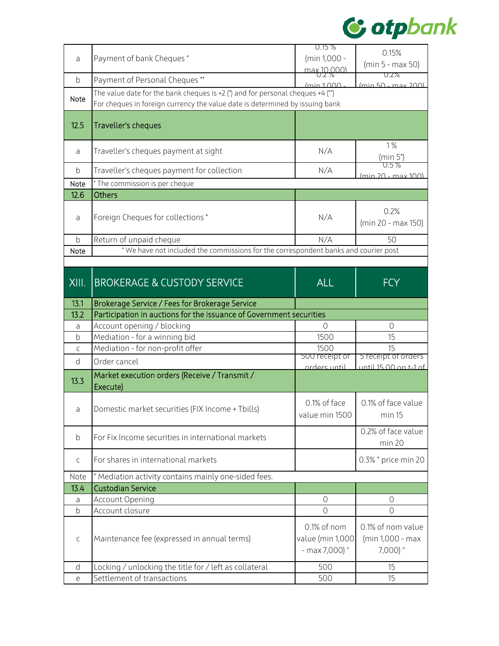

|              |                                                                                                                                                                | $0.15\%$                       | 0.15%                                        |
|--------------|----------------------------------------------------------------------------------------------------------------------------------------------------------------|--------------------------------|----------------------------------------------|
| a            | Payment of bank Cheques*                                                                                                                                       | (min 1,000 -                   | (min 5 - max 50)                             |
|              |                                                                                                                                                                | <u>max 10.000)</u>             | U.Z70                                        |
| b            | Payment of Personal Cheques **                                                                                                                                 | /min1000                       | (min 50 - may 200)                           |
| Note         | The value date for the bank cheques is +2 (*) and for personal cheques +4 (**)<br>For cheques in foreign currency the value date is determined by issuing bank |                                |                                              |
|              |                                                                                                                                                                |                                |                                              |
| 12.5         | Traveller's cheques                                                                                                                                            |                                |                                              |
|              |                                                                                                                                                                |                                |                                              |
| a            | Traveller's cheques payment at sight                                                                                                                           | N/A                            | 1%<br>(min 5*)                               |
| b            | Traveller's cheques payment for collection                                                                                                                     | N/A                            | ().5%                                        |
| Note         | * The commission is per cheque                                                                                                                                 |                                | (min 20 - max 100)                           |
| 12.6         | <b>Others</b>                                                                                                                                                  |                                |                                              |
|              |                                                                                                                                                                |                                |                                              |
|              | Foreign Cheques for collections *                                                                                                                              | N/A                            | 0.2%                                         |
| a            |                                                                                                                                                                |                                | (min 20 - max 150)                           |
| $\mathsf b$  | Return of unpaid cheque                                                                                                                                        | N/A                            | 50                                           |
| Note         | * We have not included the commissions for the correspondent banks and courier post                                                                            |                                |                                              |
|              |                                                                                                                                                                |                                |                                              |
|              |                                                                                                                                                                |                                |                                              |
| XIII.        | <b>BROKERAGE &amp; CUSTODY SERVICE</b>                                                                                                                         | <b>ALL</b>                     | <b>FCY</b>                                   |
|              |                                                                                                                                                                |                                |                                              |
| 13.1         | Brokerage Service / Fees for Brokerage Service                                                                                                                 |                                |                                              |
| 13.2         | Participation in auctions for the issuance of Government securities                                                                                            |                                |                                              |
| a            | Account opening / blocking                                                                                                                                     | $\overline{0}$                 | $\Omega$                                     |
| $\mathsf b$  | Mediation - for a winning bid                                                                                                                                  | 1500                           | 15                                           |
| C            | Mediation - for non-profit offer                                                                                                                               | 1500                           | 15                                           |
| d            | Order cancel                                                                                                                                                   | 500 receipt or<br>arders until | 5 receipt of orders<br>until 15 00 on t-1 of |
|              | Market execution orders (Receive / Transmit /                                                                                                                  |                                |                                              |
| 13.3         | Execute)                                                                                                                                                       |                                |                                              |
|              |                                                                                                                                                                |                                |                                              |
|              | Domestic market securities (FIX Income + Tbills)                                                                                                               | 0.1% of face                   | 0.1% of face value                           |
|              |                                                                                                                                                                | value min 1500                 | min 15                                       |
|              |                                                                                                                                                                |                                | 0.2% of face value                           |
| b            | For Fix Income securities in international markets                                                                                                             |                                | min 20                                       |
|              |                                                                                                                                                                |                                |                                              |
|              |                                                                                                                                                                |                                |                                              |
| C            | For shares in international markets                                                                                                                            |                                | 0.3% * price min 20                          |
| Note         | * Mediation activity contains mainly one-sided fees.                                                                                                           |                                |                                              |
| 13.4         | <b>Custodian Service</b>                                                                                                                                       |                                |                                              |
| a            | Account Opening                                                                                                                                                | $\circlearrowright$            | $\circlearrowright$                          |
| b            | Account closure                                                                                                                                                | $\circ$                        | $\overline{0}$                               |
|              |                                                                                                                                                                |                                |                                              |
|              |                                                                                                                                                                | 0.1% of nom                    | 0.1% of nom value                            |
| C            | Maintenance fee (expressed in annual terms)                                                                                                                    | value (min 1,000               | (min 1,000 - max                             |
|              |                                                                                                                                                                | - max 7,000) "                 | 7,000) "                                     |
| <sub>d</sub> | Locking / unlocking the title for / left as collateral<br>Settlement of transactions                                                                           | 500<br>500                     | 15<br>15                                     |